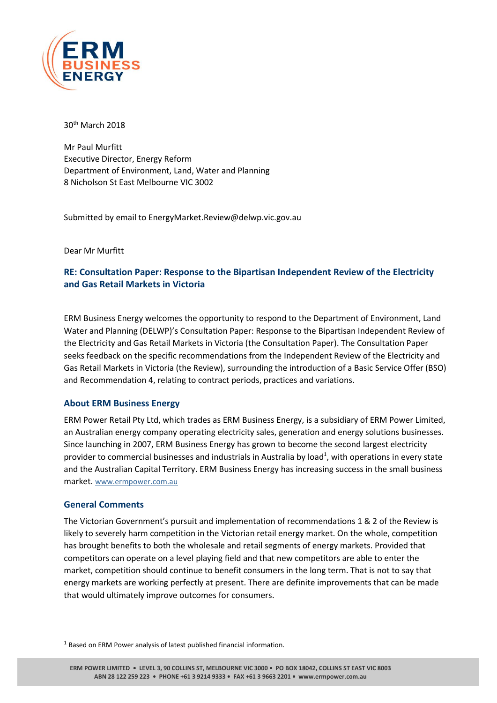

30th March 2018

Mr Paul Murfitt Executive Director, Energy Reform Department of Environment, Land, Water and Planning 8 Nicholson St East Melbourne VIC 3002

Submitted by email to EnergyMarket.Review@delwp.vic.gov.au

Dear Mr Murfitt

# **RE: Consultation Paper: Response to the Bipartisan Independent Review of the Electricity and Gas Retail Markets in Victoria**

ERM Business Energy welcomes the opportunity to respond to the Department of Environment, Land Water and Planning (DELWP)'s Consultation Paper: Response to the Bipartisan Independent Review of the Electricity and Gas Retail Markets in Victoria (the Consultation Paper). The Consultation Paper seeks feedback on the specific recommendations from the Independent Review of the Electricity and Gas Retail Markets in Victoria (the Review), surrounding the introduction of a Basic Service Offer (BSO) and Recommendation 4, relating to contract periods, practices and variations.

#### **About ERM Business Energy**

ERM Power Retail Pty Ltd, which trades as ERM Business Energy, is a subsidiary of ERM Power Limited, an Australian energy company operating electricity sales, generation and energy solutions businesses. Since launching in 2007, ERM Business Energy has grown to become the second largest electricity provider to commercial businesses and industrials in Australia by load<sup>1</sup>, with operations in every state and the Australian Capital Territory. ERM Business Energy has increasing success in the small business market. [www.ermpower.com.au](http://www.ermpower.com.au/)

#### **General Comments**

 $\overline{a}$ 

The Victorian Government's pursuit and implementation of recommendations 1 & 2 of the Review is likely to severely harm competition in the Victorian retail energy market. On the whole, competition has brought benefits to both the wholesale and retail segments of energy markets. Provided that competitors can operate on a level playing field and that new competitors are able to enter the market, competition should continue to benefit consumers in the long term. That is not to say that energy markets are working perfectly at present. There are definite improvements that can be made that would ultimately improve outcomes for consumers.

<sup>1</sup> Based on ERM Power analysis of latest published financial information.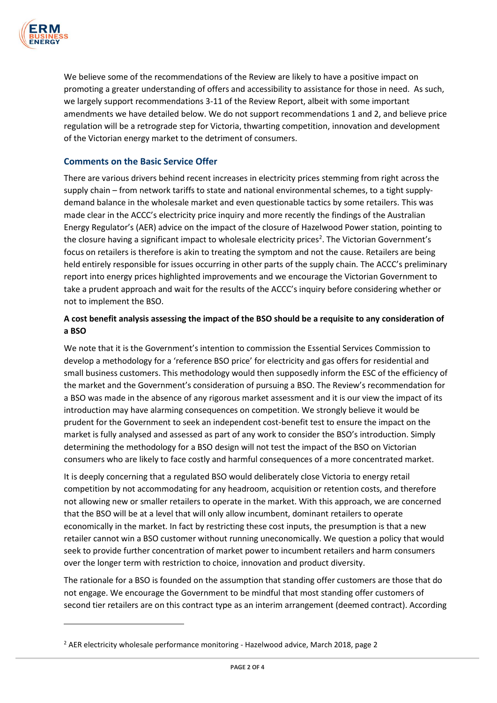

 $\overline{a}$ 

We believe some of the recommendations of the Review are likely to have a positive impact on promoting a greater understanding of offers and accessibility to assistance for those in need. As such, we largely support recommendations 3-11 of the Review Report, albeit with some important amendments we have detailed below. We do not support recommendations 1 and 2, and believe price regulation will be a retrograde step for Victoria, thwarting competition, innovation and development of the Victorian energy market to the detriment of consumers.

### **Comments on the Basic Service Offer**

There are various drivers behind recent increases in electricity prices stemming from right across the supply chain – from network tariffs to state and national environmental schemes, to a tight supplydemand balance in the wholesale market and even questionable tactics by some retailers. This was made clear in the ACCC's electricity price inquiry and more recently the findings of the Australian Energy Regulator's (AER) advice on the impact of the closure of Hazelwood Power station, pointing to the closure having a significant impact to wholesale electricity prices<sup>2</sup>. The Victorian Government's focus on retailers is therefore is akin to treating the symptom and not the cause. Retailers are being held entirely responsible for issues occurring in other parts of the supply chain. The ACCC's preliminary report into energy prices highlighted improvements and we encourage the Victorian Government to take a prudent approach and wait for the results of the ACCC's inquiry before considering whether or not to implement the BSO.

### **A cost benefit analysis assessing the impact of the BSO should be a requisite to any consideration of a BSO**

We note that it is the Government's intention to commission the Essential Services Commission to develop a methodology for a 'reference BSO price' for electricity and gas offers for residential and small business customers. This methodology would then supposedly inform the ESC of the efficiency of the market and the Government's consideration of pursuing a BSO. The Review's recommendation for a BSO was made in the absence of any rigorous market assessment and it is our view the impact of its introduction may have alarming consequences on competition. We strongly believe it would be prudent for the Government to seek an independent cost-benefit test to ensure the impact on the market is fully analysed and assessed as part of any work to consider the BSO's introduction. Simply determining the methodology for a BSO design will not test the impact of the BSO on Victorian consumers who are likely to face costly and harmful consequences of a more concentrated market.

It is deeply concerning that a regulated BSO would deliberately close Victoria to energy retail competition by not accommodating for any headroom, acquisition or retention costs, and therefore not allowing new or smaller retailers to operate in the market. With this approach, we are concerned that the BSO will be at a level that will only allow incumbent, dominant retailers to operate economically in the market. In fact by restricting these cost inputs, the presumption is that a new retailer cannot win a BSO customer without running uneconomically. We question a policy that would seek to provide further concentration of market power to incumbent retailers and harm consumers over the longer term with restriction to choice, innovation and product diversity.

The rationale for a BSO is founded on the assumption that standing offer customers are those that do not engage. We encourage the Government to be mindful that most standing offer customers of second tier retailers are on this contract type as an interim arrangement (deemed contract). According

 $2$  AER electricity wholesale performance monitoring - Hazelwood advice, March 2018, page 2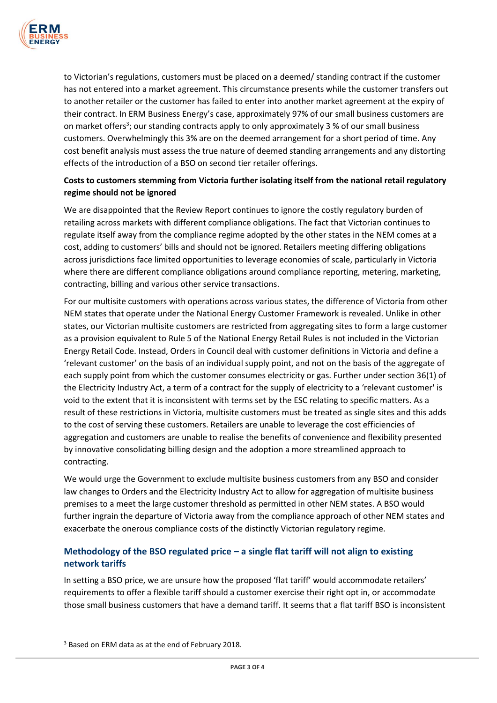

to Victorian's regulations, customers must be placed on a deemed/ standing contract if the customer has not entered into a market agreement. This circumstance presents while the customer transfers out to another retailer or the customer has failed to enter into another market agreement at the expiry of their contract. In ERM Business Energy's case, approximately 97% of our small business customers are on market offers<sup>3</sup>; our standing contracts apply to only approximately 3 % of our small business customers. Overwhelmingly this 3% are on the deemed arrangement for a short period of time. Any cost benefit analysis must assess the true nature of deemed standing arrangements and any distorting effects of the introduction of a BSO on second tier retailer offerings.

## **Costs to customers stemming from Victoria further isolating itself from the national retail regulatory regime should not be ignored**

We are disappointed that the Review Report continues to ignore the costly regulatory burden of retailing across markets with different compliance obligations. The fact that Victorian continues to regulate itself away from the compliance regime adopted by the other states in the NEM comes at a cost, adding to customers' bills and should not be ignored. Retailers meeting differing obligations across jurisdictions face limited opportunities to leverage economies of scale, particularly in Victoria where there are different compliance obligations around compliance reporting, metering, marketing, contracting, billing and various other service transactions.

For our multisite customers with operations across various states, the difference of Victoria from other NEM states that operate under the National Energy Customer Framework is revealed. Unlike in other states, our Victorian multisite customers are restricted from aggregating sites to form a large customer as a provision equivalent to Rule 5 of the National Energy Retail Rules is not included in the Victorian Energy Retail Code. Instead, Orders in Council deal with customer definitions in Victoria and define a 'relevant customer' on the basis of an individual supply point, and not on the basis of the aggregate of each supply point from which the customer consumes electricity or gas. Further under section 36(1) of the Electricity Industry Act, a term of a contract for the supply of electricity to a 'relevant customer' is void to the extent that it is inconsistent with terms set by the ESC relating to specific matters. As a result of these restrictions in Victoria, multisite customers must be treated as single sites and this adds to the cost of serving these customers. Retailers are unable to leverage the cost efficiencies of aggregation and customers are unable to realise the benefits of convenience and flexibility presented by innovative consolidating billing design and the adoption a more streamlined approach to contracting.

We would urge the Government to exclude multisite business customers from any BSO and consider law changes to Orders and the Electricity Industry Act to allow for aggregation of multisite business premises to a meet the large customer threshold as permitted in other NEM states. A BSO would further ingrain the departure of Victoria away from the compliance approach of other NEM states and exacerbate the onerous compliance costs of the distinctly Victorian regulatory regime.

# **Methodology of the BSO regulated price – a single flat tariff will not align to existing network tariffs**

In setting a BSO price, we are unsure how the proposed 'flat tariff' would accommodate retailers' requirements to offer a flexible tariff should a customer exercise their right opt in, or accommodate those small business customers that have a demand tariff. It seems that a flat tariff BSO is inconsistent

 $\overline{a}$ 

<sup>3</sup> Based on ERM data as at the end of February 2018.